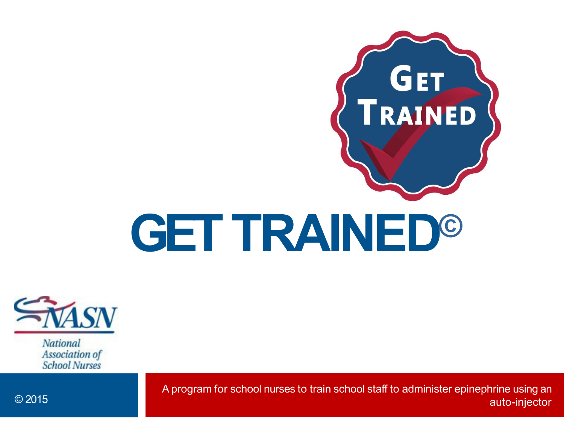



Association of **School Nurses** 

A program for school nurses to train school staff to administer epinephrine using an © 2015 auto-injector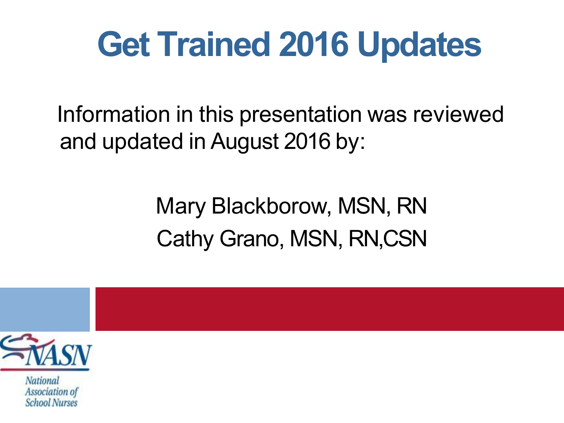### **Get Trained 2016 Updates**

Information in this presentation was reviewed and updated in August 2016 by:

#### Mary Blackborow, MSN, RN Cathy Grano, MSN, RN,CSN



National Association of **School Nurses**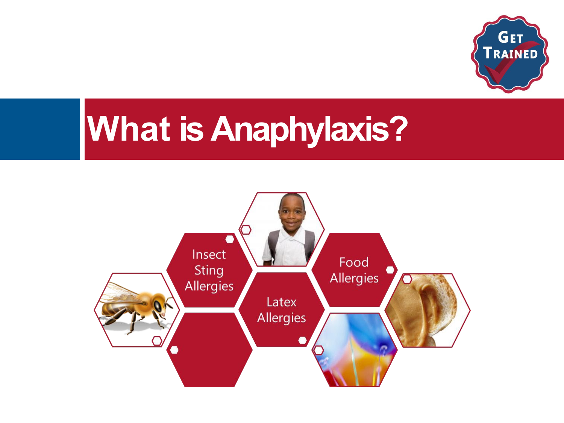

### **What is Anaphylaxis?**

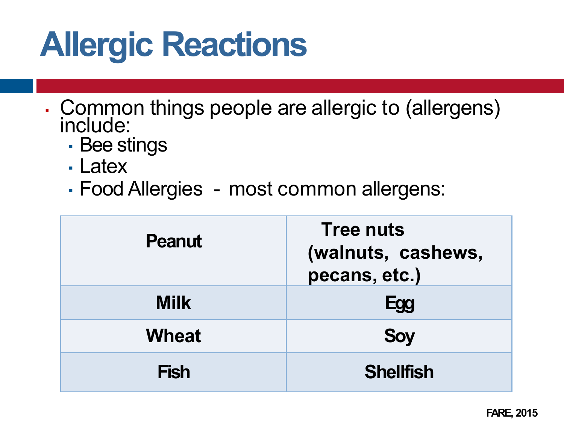# **Allergic Reactions**

- Common things people are allergic to (allergens) include:
	- **· Bee stings**
	- Latex
	- Food Allergies most common allergens:

| <b>Peanut</b> | <b>Tree nuts</b><br>(walnuts, cashews,<br>pecans, etc.) |
|---------------|---------------------------------------------------------|
| <b>Milk</b>   | Egg                                                     |
| <b>Wheat</b>  | <b>Soy</b>                                              |
| <b>Fish</b>   | <b>Shellfish</b>                                        |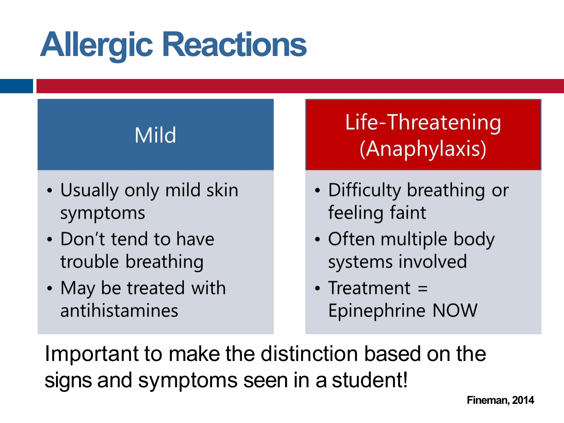# **Allergic Reactions**

#### **Mild**

- Usually only mild skin symptoms
- Don't tend to have trouble breathing
- May be treated with antihistamines

#### Life-Threatening (Anaphylaxis)

- Difficulty breathing or feeling faint
- Often multiple body systems involved
- Treatment  $=$ Epinephrine NOW

Important to make the distinction based on the signs and symptoms seen in a student!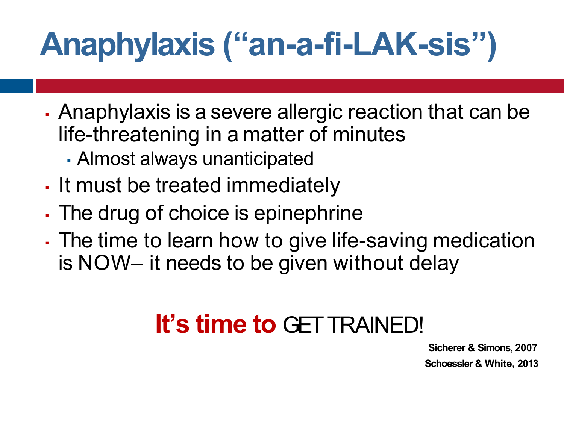# **Anaphylaxis ("an-a-fi-LAK-sis")**

- . Anaphylaxis is a severe allergic reaction that can be life-threatening in a matter of minutes
	- Almost always unanticipated
- If must be treated immediately
- . The drug of choice is epinephrine
- . The time to learn how to give life-saving medication is NOW– it needs to be given without delay

#### **It's time to** GETTRAINED!

**Sicherer & Simons, 2007 Schoessler & White, 2013**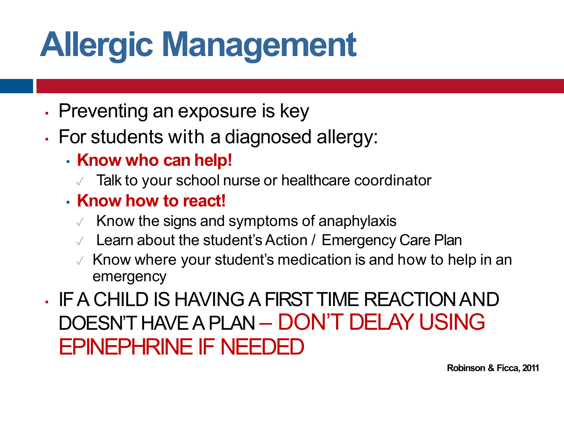# **Allergic Management**

- Preventing an exposure is key
- For students with a diagnosed allergy:
	- **Know who can help!**
		- Talk to your school nurse or healthcare coordinator
	- **Know how to react!**
		- Know the signs and symptoms of anaphylaxis
		- Learn about the student's Action / Emergency Care Plan
		- ✓ Know where your student's medication is and how to help in an emergency
- IFA CHILD IS HAVINGAFIRSTTIME REACTIONAND DOESN'T HAVEA PLAN – DON'T DELAY USING EPINEPHRINE IF NEEDED

**Robinson & Ficca, 2011**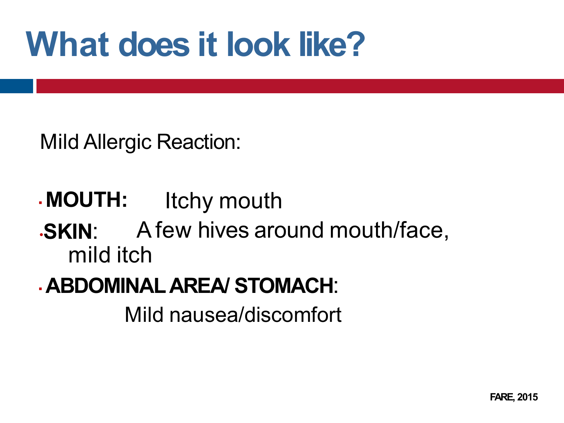## **What does it look like?**

Mild Allergic Reaction:

▪**MOUTH:** Itchy mouth

•**SKIN**: Afew hives around mouth/face, mild itch

▪**ABDOMINALAREA/ STOMACH**:

Mild nausea/discomfort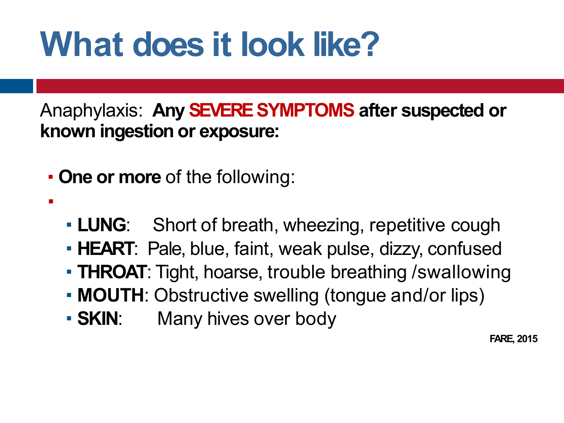## **What does it look like?**

Anaphylaxis: **Any SEVERESYMPTOMS after suspected or known ingestion or exposure:**

▪**One or more** of the following:

▪

- **LUNG:** Short of breath, wheezing, repetitive cough
- **HEART**: Pale, blue, faint, weak pulse, dizzy, confused
- **THROAT**: Tight, hoarse, trouble breathing /swallowing
- **MOUTH:** Obstructive swelling (tongue and/or lips)
- **SKIN:** Many hives over body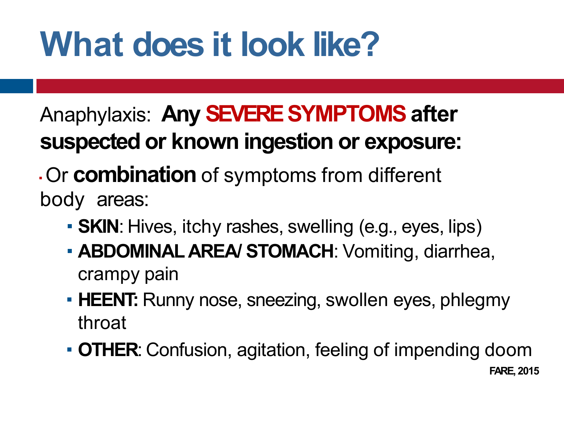## **What does it look like?**

#### Anaphylaxis: Any **SEVERE SYMPTOMS** after **suspected or known ingestion or exposure:**

#### **. Or combination** of symptoms from different body areas:

- **SKIN**: Hives, itchy rashes, swelling (e.g., eyes, lips)
- **ABDOMINAL AREA/ STOMACH:** Vomiting, diarrhea, crampy pain
- **· HEENT:** Runny nose, sneezing, swollen eyes, phlegmy throat
- ▪**OTHER**: Confusion, agitation, feeling of impending doom **FARE, 2015**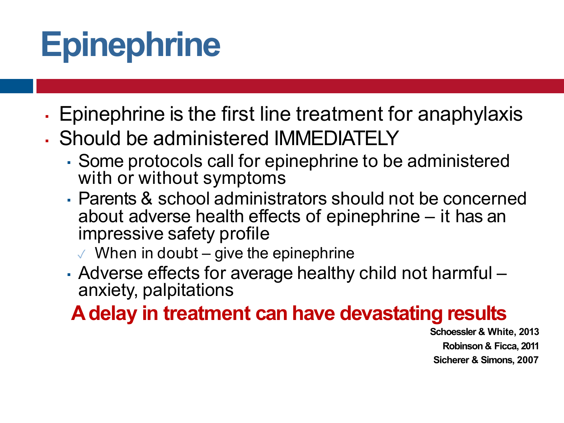# **Epinephrine**

- Epinephrine is the first line treatment for anaphylaxis
- Should be administered IMMEDIATELY
	- Some protocols call for epinephrine to be administered with or without symptoms
	- Parents & school administrators should not be concerned about adverse health effects of epinephrine – it has an impressive safety profile
		- $\vee$  When in doubt give the epinephrine
	- Adverse effects for average healthy child not harmful anxiety, palpitations

#### **Adelay in treatment can have devastating results**

**Schoessler & White, 2013 Robinson & Ficca, 2011 Sicherer & Simons, 2007**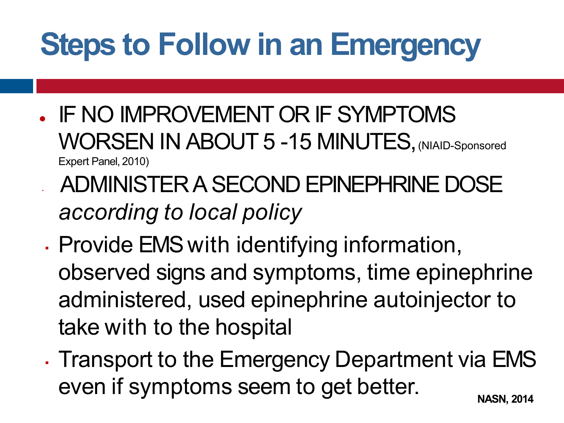### **Steps to Follow in an Emergency**

- . IF NO IMPROVEMENT OR IF SYMPTOMS WORSEN IN ABOUT 5 -15 MINUTES, (NIAID-Sponsored Expert Panel, 2010)
- ADMINISTER A SECOND EPINEPHRINE DOSE *according to local policy*
- . Provide EMS with identifying information, observed signs and symptoms, time epinephrine administered, used epinephrine autoinjector to take with to the hospital
- . Transport to the Emergency Department via EMS even if symptoms seem to get better. **NASN, 2014**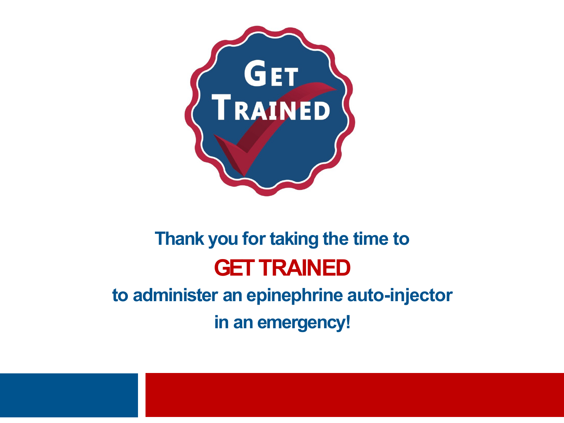

#### **Thank you for taking the time to GET TRAINED to administer an epinephrine auto-injector**

**in an emergency!**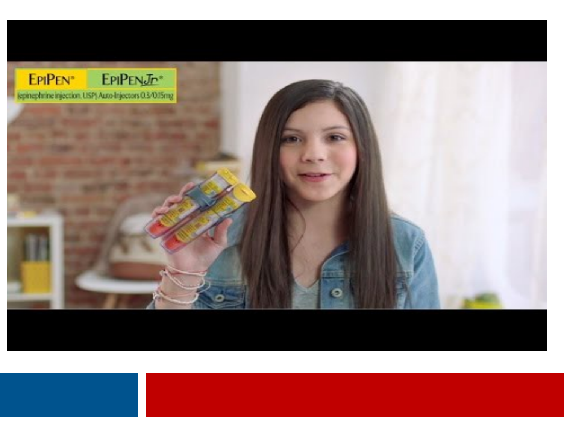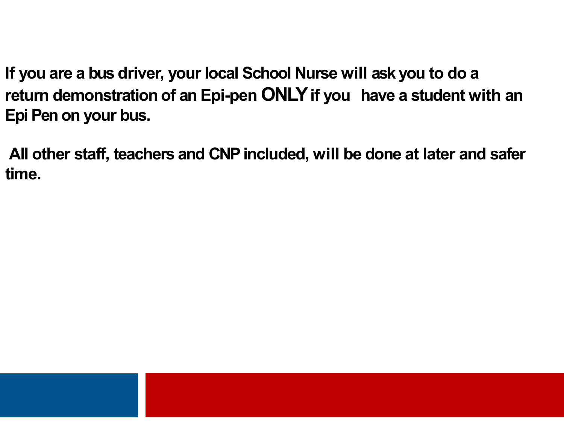**If you are a bus driver, your local School Nurse will ask you to do a return demonstration of an Epi-pen ONLY if you have a student with an Epi Pen on your bus.**

**All other staff, teachers and CNPincluded, will be done at later and safer time.**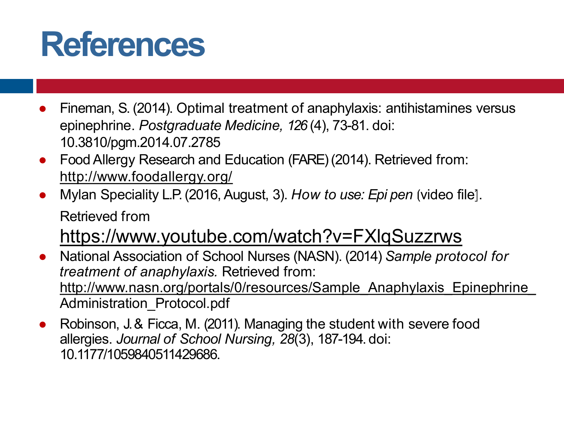### **References**

- Fineman, S. (2014). Optimal treatment of anaphylaxis: antihistamines versus epinephrine. *Postgraduate Medicine, 126* (4), 73-81. doi: 10.3810/pgm.2014.07.2785
- Food Allergy Research and Education (FARE) (2014). Retrieved from: http://www.foodallergy.org/
- Mylan Speciality L.P.(2016, August, 3). *How to use: Epi pen* ⦗video file⦐. Retrieved from

https://www.youtube.com/watch?v=FXlqSuzzrws

- National Association of School Nurses (NASN). (2014) *Sample protocol for treatment of anaphylaxis.* Retrieved from: http://www.nasn.org/portals/0/resources/Sample\_Anaphylaxis\_Epinephrine\_ Administration\_Protocol.pdf
- Robinson, J. & Ficca, M. (2011). Managing the student with severe food allergies. *Journal of School Nursing, 28*(3), 187-194. doi: 10.1177/1059840511429686.